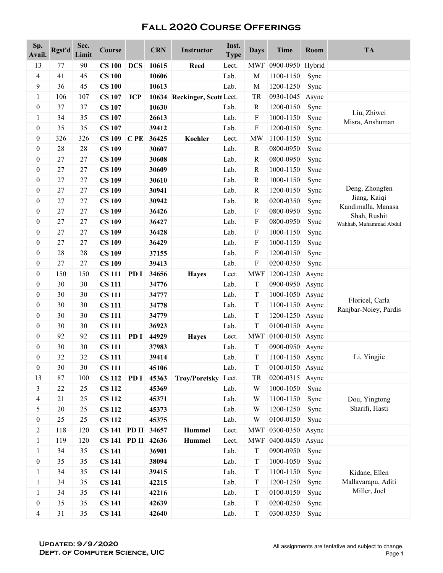| Sp.<br>Avail.    | Rgst'd | Sec.<br>Limit | Course             |            | <b>CRN</b> | <b>Instructor</b>      | Inst.<br><b>Type</b> | <b>Days</b>               | <b>Time</b>      | Room  | <b>TA</b>                          |
|------------------|--------|---------------|--------------------|------------|------------|------------------------|----------------------|---------------------------|------------------|-------|------------------------------------|
| 13               | 77     | 90            | <b>CS 100</b>      | <b>DCS</b> | 10615      | <b>Reed</b>            | Lect.                | <b>MWF</b>                | 0900-0950 Hybrid |       |                                    |
| 4                | 41     | 45            | <b>CS 100</b>      |            | 10606      |                        | Lab.                 | M                         | 1100-1150        | Sync  |                                    |
| 9                | 36     | 45            | <b>CS 100</b>      |            | 10613      |                        | Lab.                 | $\mathbf M$               | 1200-1250        | Sync  |                                    |
| $\mathbf{1}$     | 106    | 107           | <b>CS 107</b>      | <b>ICP</b> | 10634      | Reckinger, Scott Lect. |                      | TR                        | 0930-1045        | Async |                                    |
| $\boldsymbol{0}$ | 37     | 37            | <b>CS 107</b>      |            | 10630      |                        | Lab.                 | ${\bf R}$                 | 1200-0150        | Sync  |                                    |
| $\mathbf{1}$     | 34     | 35            | <b>CS 107</b>      |            | 26613      |                        | Lab.                 | F                         | 1000-1150        | Sync  | Liu, Zhiwei<br>Misra, Anshuman     |
| $\boldsymbol{0}$ | 35     | 35            | <b>CS 107</b>      |            | 39412      |                        | Lab.                 | F                         | 1200-0150        | Sync  |                                    |
| $\boldsymbol{0}$ | 326    | 326           | <b>CS 109</b>      | CPE        | 36425      | Koehler                | Lect.                | <b>MW</b>                 | 1100-1150        | Sync  |                                    |
| $\boldsymbol{0}$ | 28     | 28            | <b>CS 109</b>      |            | 30607      |                        | Lab.                 | ${\bf R}$                 | 0800-0950        | Sync  |                                    |
| $\boldsymbol{0}$ | 27     | 27            | <b>CS 109</b>      |            | 30608      |                        | Lab.                 | $\mathbb{R}$              | 0800-0950        | Sync  |                                    |
| $\boldsymbol{0}$ | 27     | 27            | <b>CS 109</b>      |            | 30609      |                        | Lab.                 | $\mathbb{R}$              | 1000-1150        | Sync  |                                    |
| $\boldsymbol{0}$ | 27     | 27            | <b>CS 109</b>      |            | 30610      |                        | Lab.                 | ${\bf R}$                 | 1000-1150        | Sync  |                                    |
| $\boldsymbol{0}$ | 27     | 27            | <b>CS 109</b>      |            | 30941      |                        | Lab.                 | ${\bf R}$                 | 1200-0150        | Sync  | Deng, Zhongfen                     |
| $\boldsymbol{0}$ | 27     | 27            | <b>CS 109</b>      |            | 30942      |                        | Lab.                 | ${\bf R}$                 | 0200-0350        | Sync  | Jiang, Kaiqi                       |
| $\boldsymbol{0}$ | 27     | 27            | <b>CS 109</b>      |            | 36426      |                        | Lab.                 | F                         | 0800-0950        | Sync  | Kandimalla, Manasa<br>Shah, Rushit |
| $\boldsymbol{0}$ | 27     | 27            | <b>CS 109</b>      |            | 36427      |                        | Lab.                 | F                         | 0800-0950        | Sync  | Wahhab, Muhammad Abdul             |
| $\boldsymbol{0}$ | 27     | 27            | <b>CS 109</b>      |            | 36428      |                        | Lab.                 | F                         | 1000-1150        | Sync  |                                    |
| $\boldsymbol{0}$ | 27     | 27            | <b>CS 109</b>      |            | 36429      |                        | Lab.                 | $\boldsymbol{\mathrm{F}}$ | 1000-1150        | Sync  |                                    |
| $\boldsymbol{0}$ | 28     | 28            | <b>CS 109</b>      |            | 37155      |                        | Lab.                 | F                         | 1200-0150        | Sync  |                                    |
| $\boldsymbol{0}$ | 27     | 27            | <b>CS 109</b>      |            | 39413      |                        | Lab.                 | F                         | 0200-0350        | Sync  |                                    |
| $\boldsymbol{0}$ | 150    | 150           | <b>CS 111</b>      | PD I       | 34656      | <b>Hayes</b>           | Lect.                | <b>MWF</b>                | 1200-1250        | Async |                                    |
| $\boldsymbol{0}$ | 30     | 30            | <b>CS 111</b>      |            | 34776      |                        | Lab.                 | T                         | 0900-0950        | Async |                                    |
| $\boldsymbol{0}$ | 30     | 30            | <b>CS 111</b>      |            | 34777      |                        | Lab.                 | $\mathbf T$               | 1000-1050        | Async | Floricel, Carla                    |
| $\boldsymbol{0}$ | 30     | 30            | <b>CS 111</b>      |            | 34778      |                        | Lab.                 | T                         | 1100-1150        | Async |                                    |
| $\boldsymbol{0}$ | 30     | 30            | <b>CS 111</b>      |            | 34779      |                        | Lab.                 | $\mathbf T$               | 1200-1250        | Async | Ranjbar-Noiey, Pardis              |
| $\boldsymbol{0}$ | 30     | 30            | <b>CS 111</b>      |            | 36923      |                        | Lab.                 | T                         | 0100-0150        | Async |                                    |
| $\boldsymbol{0}$ | 92     | 92            | <b>CS 111</b>      | PD I       | 44929      | <b>Hayes</b>           | Lect.                | <b>MWF</b>                | 0100-0150        | Async |                                    |
| $\boldsymbol{0}$ | 30     | 30            | <b>CS 111</b>      |            | 37983      |                        | Lab.                 | $\mathbf T$               | 0900-0950        | Async |                                    |
| $\boldsymbol{0}$ | 32     | 32            | <b>CS 111</b>      |            | 39414      |                        | Lab.                 | T                         | 1100-1150 Async  |       | Li, Yingjie                        |
| $\boldsymbol{0}$ | 30     | 30            | <b>CS 111</b>      |            | 45106      |                        | Lab.                 | T                         | 0100-0150        | Async |                                    |
| 13               | 87     | 100           | <b>CS 112</b>      | PD I       | 45363      | <b>Troy/Poretsky</b>   | Lect.                | TR                        | 0200-0315        | Async |                                    |
| 3                | 22     | 25            | <b>CS 112</b>      |            | 45369      |                        | Lab.                 | W                         | 1000-1050        | Sync  |                                    |
| 4                | 21     | 25            | <b>CS 112</b>      |            | 45371      |                        | Lab.                 | W                         | 1100-1150        | Sync  | Dou, Yingtong                      |
| 5                | 20     | 25            | <b>CS 112</b>      |            | 45373      |                        | Lab.                 | W                         | 1200-1250        | Sync  | Sharifi, Hasti                     |
| $\boldsymbol{0}$ | 25     | 25            | <b>CS 112</b>      |            | 45375      |                        | Lab.                 | W                         | 0100-0150        | Sync  |                                    |
| $\overline{c}$   | 118    | 120           | CS 141 PD II 34657 |            |            | <b>Hummel</b>          | Lect.                |                           | MWF 0300-0350    | Async |                                    |
| $\mathbf{1}$     | 119    | 120           | CS 141 PD II 42636 |            |            | Hummel                 | Lect.                |                           | MWF 0400-0450    | Async |                                    |
| 1                | 34     | 35            | <b>CS 141</b>      |            | 36901      |                        | Lab.                 | $\mathbf T$               | 0900-0950        | Sync  |                                    |
| $\boldsymbol{0}$ | 35     | 35            | <b>CS 141</b>      |            | 38094      |                        | Lab.                 | T                         | 1000-1050        | Sync  |                                    |
| 1                | 34     | 35            | <b>CS 141</b>      |            | 39415      |                        | Lab.                 | T                         | 1100-1150        | Sync  | Kidane, Ellen                      |
| 1                | 34     | 35            | <b>CS 141</b>      |            | 42215      |                        | Lab.                 | T                         | 1200-1250        | Sync  | Mallavarapu, Aditi                 |
| $\mathbf{1}$     | 34     | 35            | <b>CS 141</b>      |            | 42216      |                        | Lab.                 | T                         | 0100-0150        | Sync  | Miller, Joel                       |
| $\boldsymbol{0}$ | 35     | 35            | <b>CS 141</b>      |            | 42639      |                        | Lab.                 | T                         | 0200-0250        | Sync  |                                    |
| 4                | 31     | 35            | <b>CS 141</b>      |            | 42640      |                        | Lab.                 | T                         | 0300-0350        | Sync  |                                    |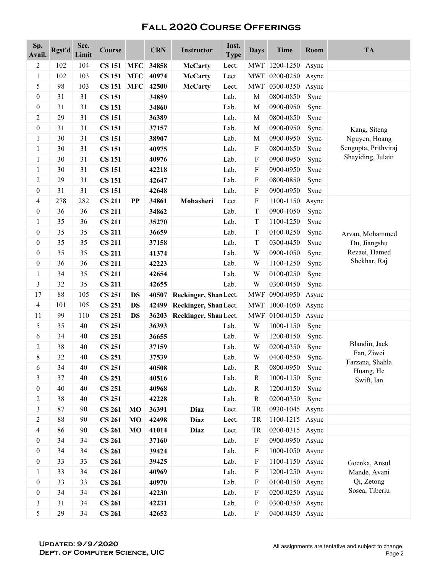| Sp.<br>Avail.    | Rgst'd | Sec.<br>Limit | Course        |                | <b>CRN</b> | <b>Instructor</b>     | Inst.<br><b>Type</b> | <b>Days</b>               | <b>Time</b>     | Room  | <b>TA</b>                     |
|------------------|--------|---------------|---------------|----------------|------------|-----------------------|----------------------|---------------------------|-----------------|-------|-------------------------------|
| $\overline{c}$   | 102    | 104           | <b>CS 151</b> | <b>MFC</b>     | 34858      | <b>McCarty</b>        | Lect.                | <b>MWF</b>                | 1200-1250       | Async |                               |
| $\mathbf{1}$     | 102    | 103           | <b>CS 151</b> | <b>MFC</b>     | 40974      | <b>McCarty</b>        | Lect.                |                           | MWF 0200-0250   | Async |                               |
| 5                | 98     | 103           | <b>CS 151</b> | <b>MFC</b>     | 42500      | <b>McCarty</b>        | Lect.                | <b>MWF</b>                | 0300-0350       | Async |                               |
| $\boldsymbol{0}$ | 31     | 31            | <b>CS 151</b> |                | 34859      |                       | Lab.                 | M                         | 0800-0850       | Sync  |                               |
| $\boldsymbol{0}$ | 31     | 31            | <b>CS 151</b> |                | 34860      |                       | Lab.                 | $\mathbf M$               | 0900-0950       | Sync  |                               |
| 2                | 29     | 31            | <b>CS 151</b> |                | 36389      |                       | Lab.                 | M                         | 0800-0850       | Sync  |                               |
| $\boldsymbol{0}$ | 31     | 31            | <b>CS 151</b> |                | 37157      |                       | Lab.                 | M                         | 0900-0950       | Sync  | Kang, Siteng                  |
| 1                | 30     | 31            | <b>CS 151</b> |                | 38907      |                       | Lab.                 | $\mathbf M$               | 0900-0950       | Sync  | Nguyen, Hoang                 |
| 1                | 30     | 31            | <b>CS 151</b> |                | 40975      |                       | Lab.                 | $\mathbf{F}$              | 0800-0850       | Sync  | Sengupta, Prithviraj          |
| $\mathbf{1}$     | 30     | 31            | <b>CS 151</b> |                | 40976      |                       | Lab.                 | $\boldsymbol{\mathrm{F}}$ | 0900-0950       | Sync  | Shayiding, Julaiti            |
| $\mathbf{1}$     | 30     | 31            | <b>CS 151</b> |                | 42218      |                       | Lab.                 | F                         | 0900-0950       | Sync  |                               |
| 2                | 29     | 31            | <b>CS 151</b> |                | 42647      |                       | Lab.                 | $\boldsymbol{\mathrm{F}}$ | 0800-0850       | Sync  |                               |
| $\boldsymbol{0}$ | 31     | 31            | <b>CS 151</b> |                | 42648      |                       | Lab.                 | ${\bf F}$                 | 0900-0950       | Sync  |                               |
| 4                | 278    | 282           | <b>CS 211</b> | PP             | 34861      | Mobasheri             | Lect.                | $\mathbf{F}$              | 1100-1150       | Async |                               |
| $\boldsymbol{0}$ | 36     | 36            | <b>CS 211</b> |                | 34862      |                       | Lab.                 | $\mathbf T$               | 0900-1050       | Sync  |                               |
| $\mathbf{1}$     | 35     | 36            | <b>CS 211</b> |                | 35270      |                       | Lab.                 | T                         | 1100-1250       | Sync  |                               |
| $\boldsymbol{0}$ | 35     | 35            | <b>CS 211</b> |                | 36659      |                       | Lab.                 | $\mathbf T$               | 0100-0250       | Sync  | Arvan, Mohammed               |
| $\boldsymbol{0}$ | 35     | 35            | <b>CS 211</b> |                | 37158      |                       | Lab.                 | $\mathbf T$               | 0300-0450       | Sync  | Du, Jiangshu                  |
| $\boldsymbol{0}$ | 35     | 35            | <b>CS 211</b> |                | 41374      |                       | Lab.                 | W                         | 0900-1050       | Sync  | Rezaei, Hamed<br>Shekhar, Raj |
| $\boldsymbol{0}$ | 36     | 36            | <b>CS 211</b> |                | 42223      |                       | Lab.                 | W                         | 1100-1250       | Sync  |                               |
| $\mathbf{1}$     | 34     | 35            | <b>CS 211</b> |                | 42654      |                       | Lab.                 | W                         | 0100-0250       | Sync  |                               |
| 3                | 32     | 35            | <b>CS 211</b> |                | 42655      |                       | Lab.                 | W                         | 0300-0450       | Sync  |                               |
| 17               | 88     | 105           | <b>CS 251</b> | <b>DS</b>      | 40507      | Reckinger, Shan Lect. |                      | <b>MWF</b>                | 0900-0950       | Async |                               |
| 4                | 101    | 105           | <b>CS 251</b> | <b>DS</b>      | 42499      | Reckinger, Shan Lect. |                      | <b>MWF</b>                | 1000-1050       | Async |                               |
| 11               | 99     | 110           | <b>CS 251</b> | <b>DS</b>      | 36203      | Reckinger, Shan Lect. |                      | <b>MWF</b>                | 0100-0150       | Async |                               |
| 5                | 35     | 40            | <b>CS 251</b> |                | 36393      |                       | Lab.                 | W                         | 1000-1150       | Sync  |                               |
| 6                | 34     | 40            | <b>CS 251</b> |                | 36655      |                       | Lab.                 | W                         | 1200-0150       | Sync  |                               |
| 2                | 38     | 40            | <b>CS 251</b> |                | 37159      |                       | Lab.                 | W                         | 0200-0350       | Sync  | Blandin, Jack                 |
| 8                | 32     | 40            | <b>CS 251</b> |                | 37539      |                       | Lab.                 | W                         | 0400-0550       | Sync  | Fan, Ziwei<br>Farzana, Shahla |
| 6                | 34     | 40            | <b>CS 251</b> |                | 40508      |                       | Lab.                 | $\mathbf R$               | 0800-0950       | Sync  | Huang, He                     |
| 3                | 37     | 40            | <b>CS 251</b> |                | 40516      |                       | Lab.                 | R                         | 1000-1150       | Sync  | Swift, Ian                    |
| $\boldsymbol{0}$ | 40     | 40            | <b>CS 251</b> |                | 40968      |                       | Lab.                 | $\mathbb{R}$              | 1200-0150       | Sync  |                               |
| $\overline{c}$   | 38     | 40            | <b>CS 251</b> |                | 42228      |                       | Lab.                 | $\mathbb{R}$              | 0200-0350       | Sync  |                               |
| 3                | 87     | 90            | <b>CS 261</b> | M <sub>O</sub> | 36391      | <b>Diaz</b>           | Lect.                | TR                        | 0930-1045       | Async |                               |
| 2                | 88     | 90            | <b>CS 261</b> | MO             | 42498      | <b>Diaz</b>           | Lect.                | <b>TR</b>                 | 1100-1215       | Async |                               |
| 4                | 86     | 90            | <b>CS 261</b> | MO             | 41014      | Diaz                  | Lect.                | <b>TR</b>                 | 0200-0315       | Async |                               |
| $\boldsymbol{0}$ | 34     | 34            | <b>CS 261</b> |                | 37160      |                       | Lab.                 | $\boldsymbol{\mathrm{F}}$ | 0900-0950       | Async |                               |
| $\boldsymbol{0}$ | 34     | 34            | <b>CS 261</b> |                | 39424      |                       | Lab.                 | $\boldsymbol{\mathrm{F}}$ | 1000-1050 Async |       |                               |
| $\boldsymbol{0}$ | 33     | 33            | <b>CS 261</b> |                | 39425      |                       | Lab.                 | $\boldsymbol{\mathrm{F}}$ | 1100-1150 Async |       | Goenka, Ansul                 |
| $\mathbf{1}$     | 33     | 34            | <b>CS 261</b> |                | 40969      |                       | Lab.                 | $\mathbf F$               | 1200-1250 Async |       | Mande, Avani                  |
| $\boldsymbol{0}$ | 33     | 33            | <b>CS 261</b> |                | 40970      |                       | Lab.                 | $\mathbf F$               | 0100-0150 Async |       | Qi, Zetong                    |
| $\boldsymbol{0}$ | 34     | 34            | <b>CS 261</b> |                | 42230      |                       | Lab.                 | $\boldsymbol{\mathrm{F}}$ | 0200-0250 Async |       | Sosea, Tiberiu                |
| 3                | 31     | 34            | <b>CS 261</b> |                | 42231      |                       | Lab.                 | $\boldsymbol{\mathrm{F}}$ | 0300-0350 Async |       |                               |
| 5                | 29     | 34            | <b>CS 261</b> |                | 42652      |                       | Lab.                 | $\boldsymbol{\mathrm{F}}$ | 0400-0450 Async |       |                               |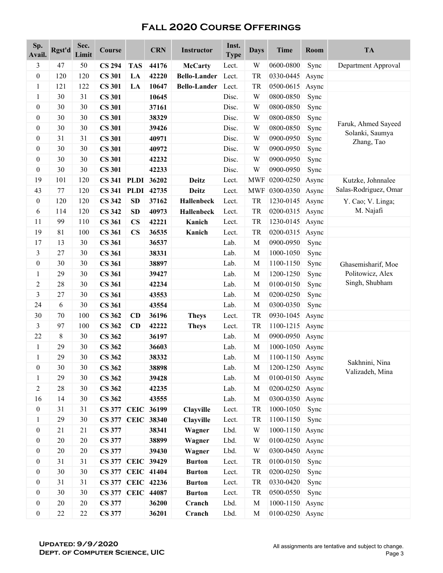| Sp.<br>Avail.                        | Rgst'd   | Sec.<br>Limit | Course                   |                        | <b>CRN</b> | <b>Instructor</b>   | Inst.<br><b>Type</b> | <b>Days</b> | <b>Time</b>     | Room  | <b>TA</b>                                                |
|--------------------------------------|----------|---------------|--------------------------|------------------------|------------|---------------------|----------------------|-------------|-----------------|-------|----------------------------------------------------------|
| 3                                    | 47       | 50            | <b>CS 294</b>            | <b>TAS</b>             | 44176      | <b>McCarty</b>      | Lect.                | W           | 0600-0800       | Sync  | Department Approval                                      |
| $\boldsymbol{0}$                     | 120      | 120           | <b>CS 301</b>            | LA                     | 42220      | <b>Bello-Lander</b> | Lect.                | TR          | 0330-0445       | Async |                                                          |
| $\mathbf{1}$                         | 121      | 122           | <b>CS 301</b>            | LA                     | 10647      | <b>Bello-Lander</b> | Lect.                | TR          | 0500-0615       | Async |                                                          |
| 1                                    | 30       | 31            | <b>CS 301</b>            |                        | 10645      |                     | Disc.                | W           | 0800-0850       | Sync  |                                                          |
| $\boldsymbol{0}$                     | 30       | 30            | <b>CS 301</b>            |                        | 37161      |                     | Disc.                | W           | 0800-0850       | Sync  |                                                          |
| $\boldsymbol{0}$                     | 30       | 30            | <b>CS 301</b>            |                        | 38329      |                     | Disc.                | W           | 0800-0850       | Sync  |                                                          |
| $\boldsymbol{0}$                     | 30       | 30            | <b>CS 301</b>            |                        | 39426      |                     | Disc.                | W           | 0800-0850       | Sync  | Faruk, Ahmed Sayeed                                      |
| $\boldsymbol{0}$                     | 31       | 31            | <b>CS 301</b>            |                        | 40971      |                     | Disc.                | W           | 0900-0950       | Sync  | Solanki, Saumya<br>Zhang, Tao                            |
| $\boldsymbol{0}$                     | 30       | 30            | <b>CS 301</b>            |                        | 40972      |                     | Disc.                | W           | 0900-0950       | Sync  |                                                          |
| $\boldsymbol{0}$                     | 30       | 30            | <b>CS 301</b>            |                        | 42232      |                     | Disc.                | W           | 0900-0950       | Sync  |                                                          |
| $\boldsymbol{0}$                     | 30       | 30            | <b>CS 301</b>            |                        | 42233      |                     | Disc.                | W           | 0900-0950       | Sync  |                                                          |
| 19                                   | 101      | 120           | <b>CS 341 PLDI</b>       |                        | 36202      | <b>Deitz</b>        | Lect.                | <b>MWF</b>  | 0200-0250       | Async | Kutzke, Johnnalee                                        |
| 43                                   | 77       | 120           | <b>CS 341 PLDI</b>       |                        | 42735      | <b>Deitz</b>        | Lect.                | <b>MWF</b>  | 0300-0350       | Async | Salas-Rodriguez, Omar                                    |
| $\boldsymbol{0}$                     | 120      | 120           | <b>CS 342</b>            | <b>SD</b>              | 37162      | <b>Hallenbeck</b>   | Lect.                | <b>TR</b>   | 1230-0145       | Async | Y. Cao; V. Linga;                                        |
| 6                                    | 114      | 120           | <b>CS 342</b>            | <b>SD</b>              | 40973      | <b>Hallenbeck</b>   | Lect.                | TR          | 0200-0315       | Async | M. Najafi                                                |
| 11                                   | 99       | 110           | <b>CS 361</b>            | $\mathbf{C}\mathbf{S}$ | 42221      | Kanich              | Lect.                | TR          | 1230-0145       | Async |                                                          |
| 19                                   | 81       | 100           | <b>CS 361</b>            | $\mathbf{CS}$          | 36535      | Kanich              | Lect.                | TR          | 0200-0315       | Async |                                                          |
| 17                                   | 13       | 30            | <b>CS 361</b>            |                        | 36537      |                     | Lab.                 | M           | 0900-0950       | Sync  |                                                          |
| 3                                    | 27       | 30            | <b>CS 361</b>            |                        | 38331      |                     | Lab.                 | M           | 1000-1050       | Sync  |                                                          |
| $\boldsymbol{0}$                     | 30       | 30            | <b>CS 361</b>            |                        | 38897      |                     | Lab.                 | $\mathbf M$ | 1100-1150       | Sync  | Ghasemisharif, Moe<br>Politowicz, Alex<br>Singh, Shubham |
| 1                                    | 29       | 30            | <b>CS 361</b>            |                        | 39427      |                     | Lab.                 | M           | 1200-1250       | Sync  |                                                          |
| 2                                    | 28       | 30            | <b>CS 361</b>            |                        | 42234      |                     | Lab.                 | $\mathbf M$ | 0100-0150       | Sync  |                                                          |
| 3                                    | 27       | 30            | <b>CS 361</b>            |                        | 43553      |                     | Lab.                 | $\mathbf M$ | 0200-0250       | Sync  |                                                          |
| 24                                   | 6        | 30            | <b>CS 361</b>            |                        | 43554      |                     | Lab.                 | M           | 0300-0350       | Sync  |                                                          |
| 30                                   | 70       | 100           | <b>CS 362</b>            | <b>CD</b>              | 36196      | <b>Theys</b>        | Lect.                | TR          | 0930-1045       | Async |                                                          |
| 3                                    | 97       | 100           | <b>CS 362</b>            | CD                     | 42222      | <b>Theys</b>        | Lect.                | TR          | 1100-1215       | Async |                                                          |
| 22                                   | 8        | 30            | <b>CS 362</b>            |                        | 36197      |                     | Lab.                 | M           | 0900-0950       | Async |                                                          |
| $\mathbf{1}$                         | 29       | 30            | <b>CS 362</b>            |                        | 36603      |                     | Lab.                 | M           | 1000-1050       | Async |                                                          |
| 1                                    | 29       | 30            | <b>CS 362</b>            |                        | 38332      |                     | Lab.                 | M           | 1100-1150 Async |       |                                                          |
| $\boldsymbol{0}$                     | 30       | 30            | <b>CS 362</b>            |                        | 38898      |                     | Lab.                 | M           | 1200-1250 Async |       | Sakhnini, Nina                                           |
| $\mathbf{1}$                         | 29       | 30            | <b>CS 362</b>            |                        | 39428      |                     | Lab.                 | M           | 0100-0150       | Async | Valizadeh, Mina                                          |
| $\overline{c}$                       | 28       | 30            | <b>CS 362</b>            |                        | 42235      |                     | Lab.                 | M           | 0200-0250 Async |       |                                                          |
| 16                                   | 14       | 30            | <b>CS 362</b>            |                        | 43555      |                     | Lab.                 | M           | 0300-0350       | Async |                                                          |
| $\boldsymbol{0}$                     | 31       | 31            | <b>CS 377 CEIC 36199</b> |                        |            | <b>Clayville</b>    | Lect.                | <b>TR</b>   | 1000-1050       | Sync  |                                                          |
| $\mathbf{1}$                         | 29       | 30            | <b>CS 377 CEIC 38340</b> |                        |            | Clayville           | Lect.                | TR          | 1100-1150       | Sync  |                                                          |
| $\boldsymbol{0}$                     | 21       | 21            | <b>CS 377</b>            |                        | 38341      | Wagner              | Lbd.                 | W           | 1000-1150       | Async |                                                          |
| $\boldsymbol{0}$                     | 20       | 20            | <b>CS 377</b>            |                        | 38899      | Wagner              | Lbd.                 | W           | 0100-0250       | Async |                                                          |
| $\boldsymbol{0}$                     | $20\,$   | $20\,$        | <b>CS 377</b>            |                        | 39430      | Wagner              | Lbd.                 | W           | 0300-0450       | Async |                                                          |
| $\boldsymbol{0}$                     | 31       | 31            | <b>CS 377 CEIC 39429</b> |                        |            | <b>Burton</b>       | Lect.                | TR          | 0100-0150       | Sync  |                                                          |
|                                      | 30       | 30            | <b>CS 377 CEIC 41404</b> |                        |            |                     |                      | <b>TR</b>   | 0200-0250       |       |                                                          |
| $\boldsymbol{0}$<br>$\boldsymbol{0}$ | 31       | 31            | CS 377 CEIC 42236        |                        |            | <b>Burton</b>       | Lect.<br>Lect.       | TR          | 0330-0420       | Sync  |                                                          |
|                                      |          |               |                          |                        |            | <b>Burton</b>       |                      |             |                 | Sync  |                                                          |
| $\boldsymbol{0}$                     | 30<br>20 | 30            | <b>CS 377 CEIC 44087</b> |                        |            | <b>Burton</b>       | Lect.                | TR          | 0500-0550       | Sync  |                                                          |
| $\boldsymbol{0}$                     |          | 20            | <b>CS 377</b>            |                        | 36200      | Cranch              | Lbd.                 | $\mathbf M$ | 1000-1150       | Async |                                                          |
| $\boldsymbol{0}$                     | 22       | $22\,$        | <b>CS 377</b>            |                        | 36201      | Cranch              | Lbd.                 | M           | 0100-0250 Async |       |                                                          |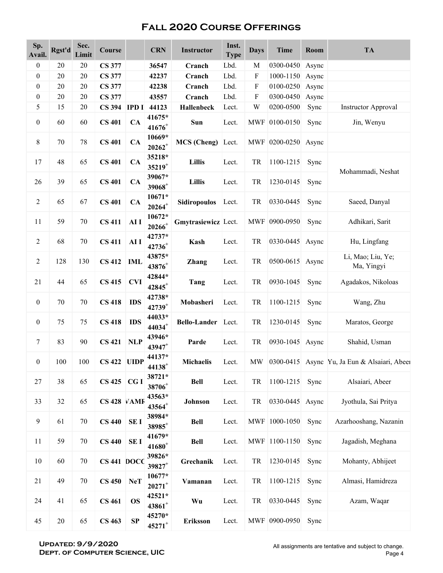| Sp.<br>Avail.    | Rgst'd | Sec.<br>Limit | Course        |              | <b>CRN</b>                       | Instructor          | Inst.<br><b>Type</b> | <b>Days</b>               | <b>Time</b>         | <b>Room</b> | <b>TA</b>                                       |
|------------------|--------|---------------|---------------|--------------|----------------------------------|---------------------|----------------------|---------------------------|---------------------|-------------|-------------------------------------------------|
| $\boldsymbol{0}$ | 20     | 20            | <b>CS 377</b> |              | 36547                            | Cranch              | Lbd.                 | M                         | 0300-0450           | Async       |                                                 |
| $\boldsymbol{0}$ | 20     | 20            | <b>CS 377</b> |              | 42237                            | Cranch              | Lbd.                 | F                         | 1000-1150           | Async       |                                                 |
| $\boldsymbol{0}$ | 20     | 20            | <b>CS 377</b> |              | 42238                            | Cranch              | Lbd.                 | $\boldsymbol{\mathrm{F}}$ | 0100-0250           | Async       |                                                 |
| $\boldsymbol{0}$ | 20     | 20            | <b>CS 377</b> |              | 43557                            | Cranch              | Lbd.                 | F                         | 0300-0450           | Async       |                                                 |
| 5                | 15     | 20            | <b>CS 394</b> | <b>IPD I</b> | 44123                            | Hallenbeck          | Lect.                | W                         | 0200-0500           | Sync        | <b>Instructor Approval</b>                      |
| $\boldsymbol{0}$ | 60     | 60            | <b>CS 401</b> | CA           | 41675*<br>$41676^{+}$            | Sun                 | Lect.                |                           | MWF 0100-0150       | Sync        | Jin, Wenyu                                      |
| $8\,$            | $70\,$ | 78            | <b>CS 401</b> | CA           | 10669*<br>$\boldsymbol{20262}^+$ | <b>MCS</b> (Cheng)  | Lect.                |                           | MWF 0200-0250 Async |             |                                                 |
| 17               | 48     | 65            | <b>CS 401</b> | CA           | 35218*<br>$35219^{+}$            | Lillis              | Lect.                | TR                        | 1100-1215           | Sync        | Mohammadi, Neshat                               |
| 26               | 39     | 65            | <b>CS 401</b> | CA           | 39067*<br>$39068^+$              | <b>Lillis</b>       | Lect.                | TR                        | 1230-0145           | Sync        |                                                 |
| $\sqrt{2}$       | 65     | 67            | <b>CS 401</b> | CA           | 10671*<br>$20264^+$              | <b>Sidiropoulos</b> | Lect.                | TR                        | 0330-0445           | Sync        | Saeed, Danyal                                   |
| 11               | 59     | $70\,$        | <b>CS 411</b> | AI I         | 10672*<br>$\boldsymbol{20266}^+$ | Gmytrasiewicz Lect. |                      |                           | MWF 0900-0950       | Sync        | Adhikari, Sarit                                 |
| $\sqrt{2}$       | 68     | 70            | <b>CS 411</b> | AI I         | 42737*<br>42736+                 | Kash                | Lect.                | TR                        | 0330-0445 Async     |             | Hu, Lingfang                                    |
| $\sqrt{2}$       | 128    | 130           | <b>CS 412</b> | <b>IML</b>   | 43875*<br>43876+                 | <b>Zhang</b>        | Lect.                | TR                        | 0500-0615 Async     |             | Li, Mao; Liu, Ye;<br>Ma, Yingyi                 |
| 21               | 44     | 65            | <b>CS 415</b> | <b>CVI</b>   | 42844*<br>$42845$ <sup>+</sup>   | Tang                | Lect.                | TR                        | 0930-1045           | Sync        | Agadakos, Nikoloas                              |
| $\boldsymbol{0}$ | 70     | 70            | <b>CS 418</b> | <b>IDS</b>   | 42738*<br>42739 <sup>+</sup>     | Mobasheri           | Lect.                | TR                        | 1100-1215           | Sync        | Wang, Zhu                                       |
| $\boldsymbol{0}$ | 75     | 75            | <b>CS 418</b> | <b>IDS</b>   | 44033*<br>$44034$ <sup>+</sup>   | Bello-Lander Lect.  |                      | TR                        | 1230-0145           | Sync        | Maratos, George                                 |
| $\tau$           | 83     | 90            | <b>CS 421</b> | <b>NLP</b>   | 43946*<br>43947 <sup>+</sup>     | Parde               | Lect.                | TR                        | 0930-1045 Async     |             | Shahid, Usman                                   |
| $\overline{0}$   | 100    | 100           | CS 422 UIDP   |              | 44137*<br>$44138^{+}$            | Michaelis           | Lect.                |                           |                     |             | MW 0300-0415 Async Yu, Ja Eun & Alsaiari, Abeel |
| 27               | 38     | 65            | $CS$ 425      | CGI          | 38721*<br>38706+                 | <b>Bell</b>         | Lect.                | TR                        | 1100-1215           | Sync        | Alsaiari, Abeer                                 |
| 33               | 32     | 65            | CS 428 VAMI   |              | 43563*<br>43564+                 | Johnson             | Lect.                | TR                        | 0330-0445 Async     |             | Jyothula, Sai Pritya                            |
| $\overline{9}$   | 61     | $70\,$        | <b>CS 440</b> | <b>SEI</b>   | 38984*<br>$38985^{+}$            | <b>Bell</b>         | Lect.                |                           | MWF 1000-1050       | Sync        | Azarhooshang, Nazanin                           |
| 11               | 59     | $70\,$        | <b>CS 440</b> | <b>SEI</b>   | 41679*<br>$41680^{+}$            | <b>Bell</b>         | Lect.                |                           | MWF 1100-1150       | Sync        | Jagadish, Meghana                               |
| 10               | 60     | $70\,$        | CS 441 DOCC   |              | 39826*<br>$39827$ <sup>+</sup>   | Grechanik           | Lect.                | TR                        | 1230-0145           | Sync        | Mohanty, Abhijeet                               |
| 21               | 49     | $70\,$        | <b>CS 450</b> | <b>NeT</b>   | 10677*<br>$20271$ <sup>+</sup>   | Vamanan             | Lect.                | TR                        | 1100-1215           | Sync        | Almasi, Hamidreza                               |
| 24               | 41     | 65            | <b>CS 461</b> | <b>OS</b>    | 42521*<br>43861 <sup>+</sup>     | Wu                  | Lect.                | TR                        | 0330-0445           | Sync        | Azam, Waqar                                     |
| 45               | $20\,$ | 65            | <b>CS 463</b> | SP           | 45270*<br>$45271^{+}$            | Eriksson            | Lect.                |                           | MWF 0900-0950       | Sync        |                                                 |